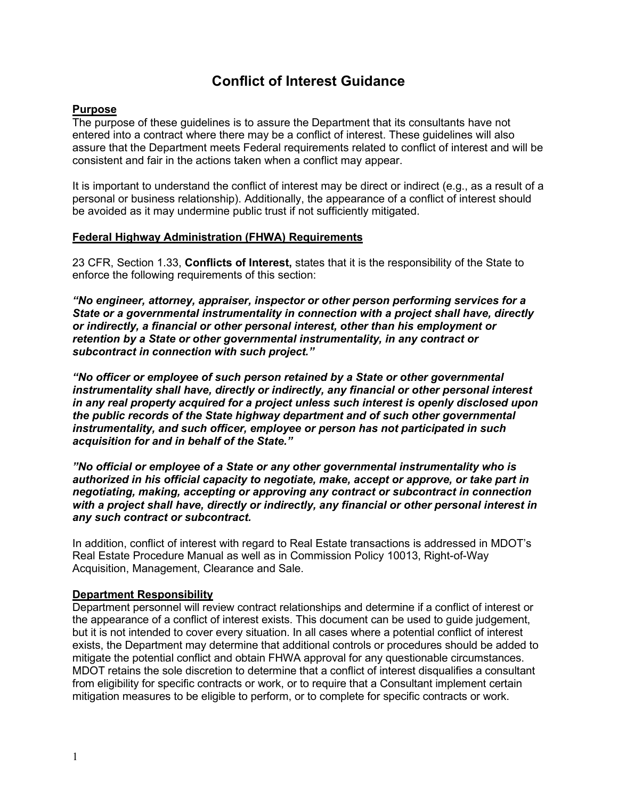# **Conflict of Interest Guidance**

### **Purpose**

The purpose of these guidelines is to assure the Department that its consultants have not entered into a contract where there may be a conflict of interest. These guidelines will also assure that the Department meets Federal requirements related to conflict of interest and will be consistent and fair in the actions taken when a conflict may appear.

It is important to understand the conflict of interest may be direct or indirect (e.g., as a result of a personal or business relationship). Additionally, the appearance of a conflict of interest should be avoided as it may undermine public trust if not sufficiently mitigated.

#### **Federal Highway Administration (FHWA) Requirements**

23 CFR, Section 1.33, **Conflicts of Interest,** states that it is the responsibility of the State to enforce the following requirements of this section:

*"No engineer, attorney, appraiser, inspector or other person performing services for a State or a governmental instrumentality in connection with a project shall have, directly or indirectly, a financial or other personal interest, other than his employment or retention by a State or other governmental instrumentality, in any contract or subcontract in connection with such project."* 

*"No officer or employee of such person retained by a State or other governmental instrumentality shall have, directly or indirectly, any financial or other personal interest in any real property acquired for a project unless such interest is openly disclosed upon the public records of the State highway department and of such other governmental instrumentality, and such officer, employee or person has not participated in such acquisition for and in behalf of the State."* 

*"No official or employee of a State or any other governmental instrumentality who is authorized in his official capacity to negotiate, make, accept or approve, or take part in negotiating, making, accepting or approving any contract or subcontract in connection with a project shall have, directly or indirectly, any financial or other personal interest in any such contract or subcontract.* 

In addition, conflict of interest with regard to Real Estate transactions is addressed in MDOT's Real Estate Procedure Manual as well as in Commission Policy 10013, Right-of-Way Acquisition, Management, Clearance and Sale.

#### **Department Responsibility**

Department personnel will review contract relationships and determine if a conflict of interest or the appearance of a conflict of interest exists. This document can be used to guide judgement, but it is not intended to cover every situation. In all cases where a potential conflict of interest exists, the Department may determine that additional controls or procedures should be added to mitigate the potential conflict and obtain FHWA approval for any questionable circumstances. MDOT retains the sole discretion to determine that a conflict of interest disqualifies a consultant from eligibility for specific contracts or work, or to require that a Consultant implement certain mitigation measures to be eligible to perform, or to complete for specific contracts or work.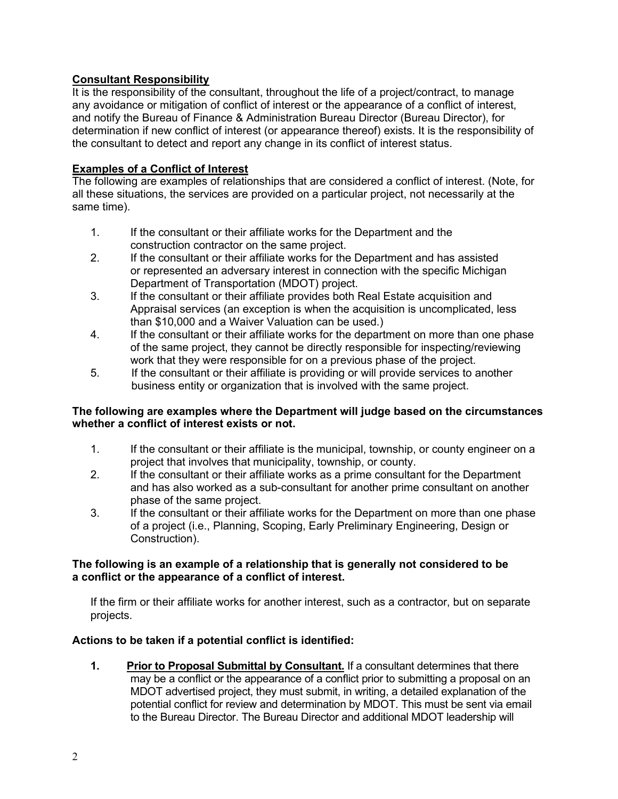## **Consultant Responsibility**

It is the responsibility of the consultant, throughout the life of a project/contract, to manage any avoidance or mitigation of conflict of interest or the appearance of a conflict of interest, and notify the Bureau of Finance & Administration Bureau Director (Bureau Director), for determination if new conflict of interest (or appearance thereof) exists. It is the responsibility of the consultant to detect and report any change in its conflict of interest status.

## **Examples of a Conflict of Interest**

The following are examples of relationships that are considered a conflict of interest. (Note, for all these situations, the services are provided on a particular project, not necessarily at the same time).

- 1. If the consultant or their affiliate works for the Department and the construction contractor on the same project.
- 2. If the consultant or their affiliate works for the Department and has assisted or represented an adversary interest in connection with the specific Michigan Department of Transportation (MDOT) project.
- 3. If the consultant or their affiliate provides both Real Estate acquisition and Appraisal services (an exception is when the acquisition is uncomplicated, less than \$10,000 and a Waiver Valuation can be used.)
- 4. If the consultant or their affiliate works for the department on more than one phase of the same project, they cannot be directly responsible for inspecting/reviewing work that they were responsible for on a previous phase of the project.
- 5. If the consultant or their affiliate is providing or will provide services to another business entity or organization that is involved with the same project.

#### **The following are examples where the Department will judge based on the circumstances whether a conflict of interest exists or not.**

- 1. If the consultant or their affiliate is the municipal, township, or county engineer on a project that involves that municipality, township, or county.
- 2. If the consultant or their affiliate works as a prime consultant for the Department and has also worked as a sub-consultant for another prime consultant on another phase of the same project.
- 3. If the consultant or their affiliate works for the Department on more than one phase of a project (i.e., Planning, Scoping, Early Preliminary Engineering, Design or Construction).

#### **The following is an example of a relationship that is generally not considered to be a conflict or the appearance of a conflict of interest.**

If the firm or their affiliate works for another interest, such as a contractor, but on separate projects.

## **Actions to be taken if a potential conflict is identified:**

**1. Prior to Proposal Submittal by Consultant.** If a consultant determines that there may be a conflict or the appearance of a conflict prior to submitting a proposal on an MDOT advertised project, they must submit, in writing, a detailed explanation of the potential conflict for review and determination by MDOT. This must be sent via email to the Bureau Director. The Bureau Director and additional MDOT leadership will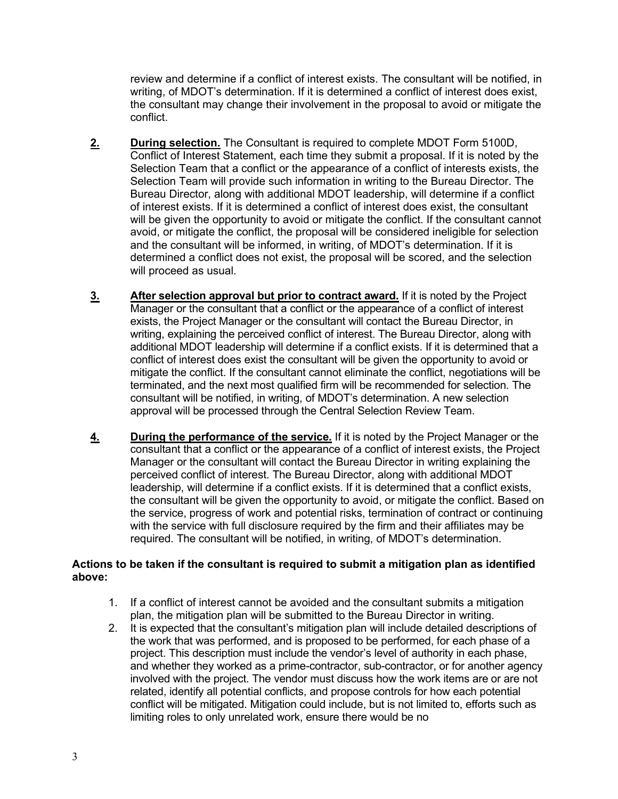review and determine if a conflict of interest exists. The consultant will be notified, in writing, of MDOT's determination. If it is determined a conflict of interest does exist, the consultant may change their involvement in the proposal to avoid or mitigate the conflict.

- **2. During selection.** The Consultant is required to complete MDOT Form 5100D, Conflict of Interest Statement, each time they submit a proposal. If it is noted by the Selection Team that a conflict or the appearance of a conflict of interests exists, the Selection Team will provide such information in writing to the Bureau Director. The Bureau Director, along with additional MDOT leadership, will determine if a conflict of interest exists. If it is determined a conflict of interest does exist, the consultant will be given the opportunity to avoid or mitigate the conflict. If the consultant cannot avoid, or mitigate the conflict, the proposal will be considered ineligible for selection and the consultant will be informed, in writing, of MDOT's determination. If it is determined a conflict does not exist, the proposal will be scored, and the selection will proceed as usual.
- **3.** After selection approval but prior to contract award. If it is noted by the Project Manager or the consultant that a conflict or the appearance of a conflict of interest exists, the Project Manager or the consultant will contact the Bureau Director, in writing, explaining the perceived conflict of interest. The Bureau Director, along with additional MDOT leadership will determine if a conflict exists. If it is determined that a conflict of interest does exist the consultant will be given the opportunity to avoid or mitigate the conflict. If the consultant cannot eliminate the conflict, negotiations will be terminated, and the next most qualified firm will be recommended for selection. The consultant will be notified, in writing, of MDOT's determination. A new selection approval will be processed through the Central Selection Review Team.
- **4. During the performance of the service.** If it is noted by the Project Manager or the consultant that a conflict or the appearance of a conflict of interest exists, the Project Manager or the consultant will contact the Bureau Director in writing explaining the perceived conflict of interest. The Bureau Director, along with additional MDOT leadership, will determine if a conflict exists. If it is determined that a conflict exists, the consultant will be given the opportunity to avoid, or mitigate the conflict. Based on the service, progress of work and potential risks, termination of contract or continuing with the service with full disclosure required by the firm and their affiliates may be required. The consultant will be notified, in writing, of MDOT's determination.

#### **Actions to be taken if the consultant is required to submit a mitigation plan as identified above:**

- 1. If a conflict of interest cannot be avoided and the consultant submits a mitigation plan, the mitigation plan will be submitted to the Bureau Director in writing.
- 2. It is expected that the consultant's mitigation plan will include detailed descriptions of the work that was performed, and is proposed to be performed, for each phase of a project. This description must include the vendor's level of authority in each phase, and whether they worked as a prime-contractor, sub-contractor, or for another agency involved with the project. The vendor must discuss how the work items are or are not related, identify all potential conflicts, and propose controls for how each potential conflict will be mitigated. Mitigation could include, but is not limited to, efforts such as limiting roles to only unrelated work, ensure there would be no